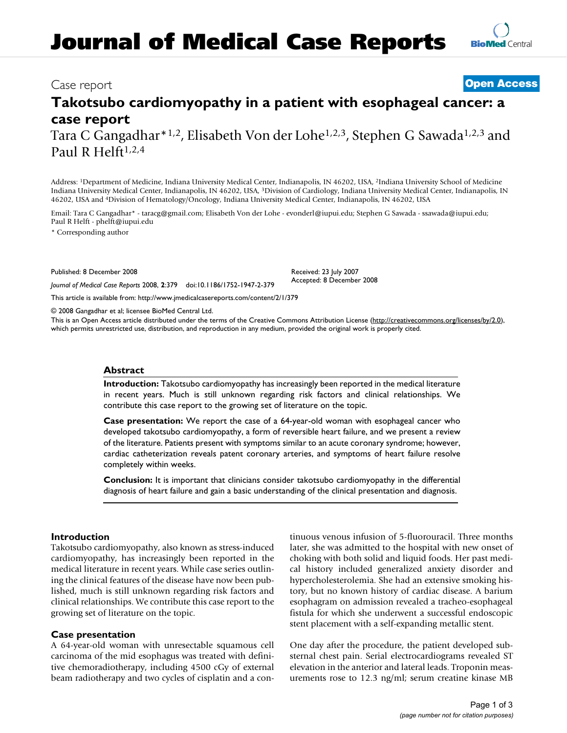# **Journal of Medical Case Reports**

### Case report **[Open Access](http://www.biomedcentral.com/info/about/charter/)**

## **Takotsubo cardiomyopathy in a patient with esophageal cancer: a case report**

Tara C Gangadhar\*1,2, Elisabeth Von der Lohe1,2,3, Stephen G Sawada1,2,3 and Paul R Helft $1,2,4$ 

Address: 1Department of Medicine, Indiana University Medical Center, Indianapolis, IN 46202, USA, 2Indiana University School of Medicine Indiana University Medical Center, Indianapolis, IN 46202, USA, 3Division of Cardiology, Indiana University Medical Center, Indianapolis, IN 46202, USA and 4Division of Hematology/Oncology, Indiana University Medical Center, Indianapolis, IN 46202, USA

Email: Tara C Gangadhar\* - taracg@gmail.com; Elisabeth Von der Lohe - evonderl@iupui.edu; Stephen G Sawada - ssawada@iupui.edu; Paul R Helft - phelft@iupui.edu

\* Corresponding author

Published: 8 December 2008

Received: 23 July 2007 Accepted: 8 December 2008

[This article is available from: http://www.jmedicalcasereports.com/content/2/1/379](http://www.jmedicalcasereports.com/content/2/1/379)

*Journal of Medical Case Reports* 2008, **2**:379 doi:10.1186/1752-1947-2-379

© 2008 Gangadhar et al; licensee BioMed Central Ltd.

This is an Open Access article distributed under the terms of the Creative Commons Attribution License [\(http://creativecommons.org/licenses/by/2.0\)](http://creativecommons.org/licenses/by/2.0), which permits unrestricted use, distribution, and reproduction in any medium, provided the original work is properly cited.

#### **Abstract**

**Introduction:** Takotsubo cardiomyopathy has increasingly been reported in the medical literature in recent years. Much is still unknown regarding risk factors and clinical relationships. We contribute this case report to the growing set of literature on the topic.

**Case presentation:** We report the case of a 64-year-old woman with esophageal cancer who developed takotsubo cardiomyopathy, a form of reversible heart failure, and we present a review of the literature. Patients present with symptoms similar to an acute coronary syndrome; however, cardiac catheterization reveals patent coronary arteries, and symptoms of heart failure resolve completely within weeks.

**Conclusion:** It is important that clinicians consider takotsubo cardiomyopathy in the differential diagnosis of heart failure and gain a basic understanding of the clinical presentation and diagnosis.

#### **Introduction**

Takotsubo cardiomyopathy, also known as stress-induced cardiomyopathy, has increasingly been reported in the medical literature in recent years. While case series outlining the clinical features of the disease have now been published, much is still unknown regarding risk factors and clinical relationships. We contribute this case report to the growing set of literature on the topic.

#### **Case presentation**

A 64-year-old woman with unresectable squamous cell carcinoma of the mid esophagus was treated with definitive chemoradiotherapy, including 4500 cGy of external beam radiotherapy and two cycles of cisplatin and a continuous venous infusion of 5-fluorouracil. Three months later, she was admitted to the hospital with new onset of choking with both solid and liquid foods. Her past medical history included generalized anxiety disorder and hypercholesterolemia. She had an extensive smoking history, but no known history of cardiac disease. A barium esophagram on admission revealed a tracheo-esophageal fistula for which she underwent a successful endoscopic stent placement with a self-expanding metallic stent.

One day after the procedure, the patient developed substernal chest pain. Serial electrocardiograms revealed ST elevation in the anterior and lateral leads. Troponin measurements rose to 12.3 ng/ml; serum creatine kinase MB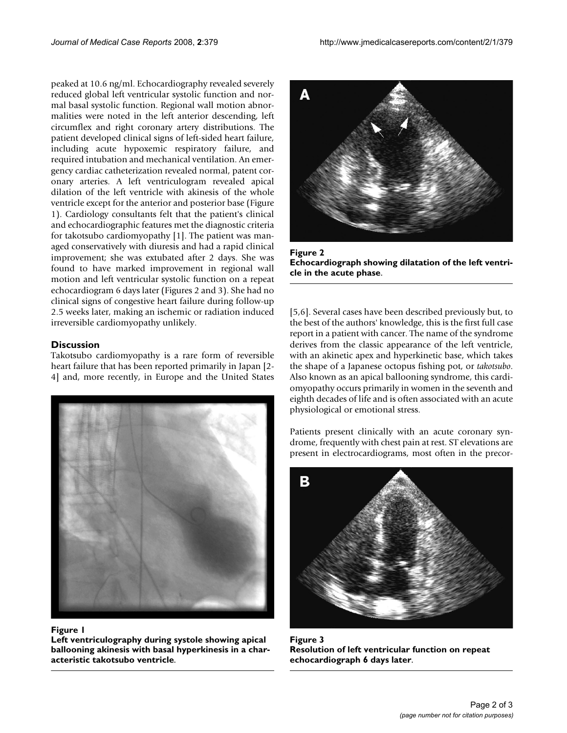peaked at 10.6 ng/ml. Echocardiography revealed severely reduced global left ventricular systolic function and normal basal systolic function. Regional wall motion abnormalities were noted in the left anterior descending, left circumflex and right coronary artery distributions. The patient developed clinical signs of left-sided heart failure, including acute hypoxemic respiratory failure, and required intubation and mechanical ventilation. An emergency cardiac catheterization revealed normal, patent coronary arteries. A left ventriculogram revealed apical dilation of the left ventricle with akinesis of the whole ventricle except for the anterior and posterior base (Figure 1). Cardiology consultants felt that the patient's clinical and echocardiographic features met the diagnostic criteria for takotsubo cardiomyopathy [1]. The patient was managed conservatively with diuresis and had a rapid clinical improvement; she was extubated after 2 days. She was found to have marked improvement in regional wall motion and left ventricular systolic function on a repeat echocardiogram 6 days later (Figures 2 and 3). She had no clinical signs of congestive heart failure during follow-up 2.5 weeks later, making an ischemic or radiation induced irreversible cardiomyopathy unlikely.

#### **Discussion**

Takotsubo cardiomyopathy is a rare form of reversible heart failure that has been reported primarily in Japan [2- 4] and, more recently, in Europe and the United States



#### Figure 1

**Left ventriculography during systole showing apical ballooning akinesis with basal hyperkinesis in a characteristic takotsubo ventricle**.



Figure 2 **Echocardiograph showing dilatation of the left ventricle in the acute phase**.

[5,6]. Several cases have been described previously but, to the best of the authors' knowledge, this is the first full case report in a patient with cancer. The name of the syndrome derives from the classic appearance of the left ventricle, with an akinetic apex and hyperkinetic base, which takes the shape of a Japanese octopus fishing pot, or *takotsubo*. Also known as an apical ballooning syndrome, this cardiomyopathy occurs primarily in women in the seventh and eighth decades of life and is often associated with an acute physiological or emotional stress.

Patients present clinically with an acute coronary syndrome, frequently with chest pain at rest. ST elevations are present in electrocardiograms, most often in the precor-



Figure 3 **Resolution of left ventricular function on repeat echocardiograph 6 days later**.